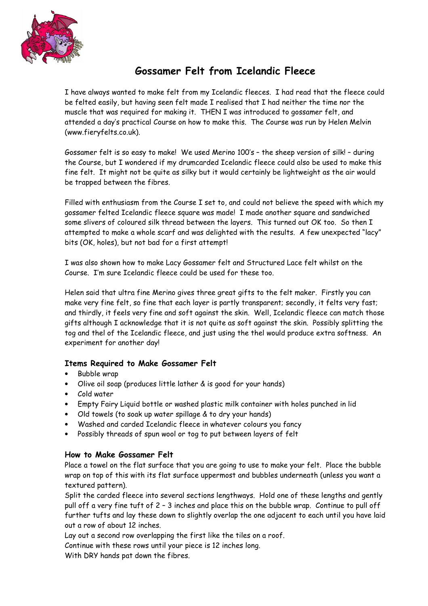

## Gossamer Felt from Icelandic Fleece

I have always wanted to make felt from my Icelandic fleeces. I had read that the fleece could be felted easily, but having seen felt made I realised that I had neither the time nor the muscle that was required for making it. THEN I was introduced to gossamer felt, and attended a day's practical Course on how to make this. The Course was run by Helen Melvin (www.fieryfelts.co.uk).

Gossamer felt is so easy to make! We used Merino 100's – the sheep version of silk! – during the Course, but I wondered if my drumcarded Icelandic fleece could also be used to make this fine felt. It might not be quite as silky but it would certainly be lightweight as the air would be trapped between the fibres.

Filled with enthusiasm from the Course I set to, and could not believe the speed with which my gossamer felted Icelandic fleece square was made! I made another square and sandwiched some slivers of coloured silk thread between the layers. This turned out OK too. So then I attempted to make a whole scarf and was delighted with the results. A few unexpected "lacy" bits (OK, holes), but not bad for a first attempt!

I was also shown how to make Lacy Gossamer felt and Structured Lace felt whilst on the Course. I'm sure Icelandic fleece could be used for these too.

Helen said that ultra fine Merino gives three great gifts to the felt maker. Firstly you can make very fine felt, so fine that each layer is partly transparent; secondly, it felts very fast; and thirdly, it feels very fine and soft against the skin. Well, Icelandic fleece can match those gifts although I acknowledge that it is not quite as soft against the skin. Possibly splitting the tog and thel of the Icelandic fleece, and just using the thel would produce extra softness. An experiment for another day!

## Items Required to Make Gossamer Felt

- Bubble wrap
- Olive oil soap (produces little lather & is good for your hands)
- Cold water
- Empty Fairy Liquid bottle or washed plastic milk container with holes punched in lid
- Old towels (to soak up water spillage & to dry your hands)
- Washed and carded Icelandic fleece in whatever colours you fancy
- Possibly threads of spun wool or tog to put between layers of felt

## How to Make Gossamer Felt

Place a towel on the flat surface that you are going to use to make your felt. Place the bubble wrap on top of this with its flat surface uppermost and bubbles underneath (unless you want a textured pattern).

Split the carded fleece into several sections lengthways. Hold one of these lengths and gently pull off a very fine tuft of 2 – 3 inches and place this on the bubble wrap. Continue to pull off further tufts and lay these down to slightly overlap the one adjacent to each until you have laid out a row of about 12 inches.

Lay out a second row overlapping the first like the tiles on a roof.

Continue with these rows until your piece is 12 inches long.

With DRY hands pat down the fibres.